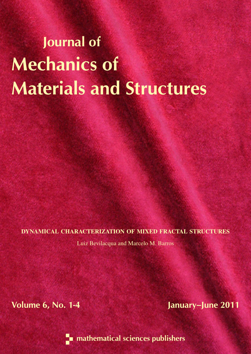# Journal of Mechanics of Materials and Structures

DYNAMICAL CHARACTERIZATION OF MIXED FRACTAL STRUCTURES

Luiz Bevilacqua and Marcelo M. Barros

Volume 6, No. 1-4 January–June 2011

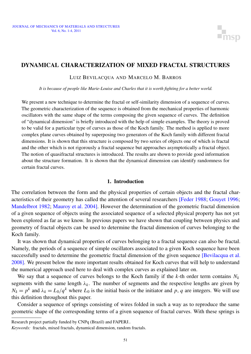

# DYNAMICAL CHARACTERIZATION OF MIXED FRACTAL STRUCTURES

LUIZ BEVILACQUA AND MARCELO M. BARROS

*It is because of people like Marie-Louise and Charles that it is worth fighting for a better world.*

We present a new technique to determine the fractal or self-similarity dimension of a sequence of curves. The geometric characterization of the sequence is obtained from the mechanical properties of harmonic oscillators with the same shape of the terms composing the given sequence of curves. The definition of "dynamical dimension" is briefly introduced with the help of simple examples. The theory is proved to be valid for a particular type of curves as those of the Koch family. The method is applied to more complex plane curves obtained by superposing two generators of the Koch family with different fractal dimensions. It is shown that this structure is composed by two series of objects one of which is fractal and the other which is not rigorously a fractal sequence but approaches asymptotically a fractal object. The notion of quasifractal structures is introduced. The results are shown to provide good information about the structure formation. It is shown that the dynamical dimension can identify randomness for certain fractal curves.

#### 1. Introduction

The correlation between the form and the physical properties of certain objects and the fractal characteristics of their geometry has called the attention of several researchers [\[Feder 1988;](#page-19-0) [Gouyet 1996;](#page-19-1) [Mandelbrot 1982;](#page-19-2) [Mauroy et al. 2004\]](#page-19-3). However the determination of the geometric fractal dimension of a given sequence of objects using the associated sequence of a selected physical property has not yet been explored as far as we know. In previous papers we have shown that coupling between physics and geometry of fractal objects can be used to determine the fractal dimension of curves belonging to the Koch family.

It was shown that dynamical properties of curves belonging to a fractal sequence can also be fractal. Namely, the periods of a sequence of simple oscillators associated to a given Koch sequence have been successfully used to determine the geometric fractal dimension of the given sequence [\[Bevilacqua et al.](#page-19-4) [2008\]](#page-19-4). We present below the more important results obtained for Koch curves that will help to understand the numerical approach used here to deal with complex curves as explained later on.

We say that a sequence of curves belongs to the Koch family if the  $k$ -th order term contains  $N_k$ segments with the same length  $\lambda_k$ . The number of segments and the respective lengths are given by  $N_k = p^k$  and  $\lambda_k = L_0/q^k$  where  $L_0$  is the initial basis or the initiator and *p*, *q* are integers. We will use this definition throughout this paper.

Consider a sequence of springs consisting of wires folded in such a way as to reproduce the same geometric shape of the corresponding terms of a given sequence of fractal curves. With these springs is

Research project partially funded by CNPq (Brazil) and FAPERJ..

*Keywords:* fractals, mixed fractals, dynamical dimension, random fractals.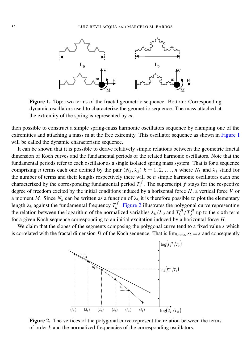<span id="page-2-0"></span>

Figure 1. Top: two terms of the fractal geometric sequence. Bottom: Corresponding dynamic oscillators used to characterize the geometric sequence. The mass attached at the extremity of the spring is represented by *m*.

then possible to construct a simple spring-mass harmonic oscillators sequence by clamping one of the extremities and attaching a mass m at the free extremity. This oscillator sequence as shown in [Figure 1](#page-2-0) will be called the dynamic characteristic sequence.

It can be shown that it is possible to derive relatively simple relations between the geometric fractal dimension of Koch curves and the fundamental periods of the related harmonic oscillators. Note that the fundamental periods refer to each oscillator as a single isolated spring mass system. That is for a sequence comprising *n* terms each one defined by the pair  $(N_k, \lambda_k)$   $k = 1, 2, ..., n$  where  $N_k$  and  $\lambda_k$  stand for the number of terms and their lengths respectively there will be *n* simple harmonic oscillators each one characterized by the corresponding fundamental period  $T_k^f$  $k_k^{\prime}$ . The superscript *f* stays for the respective degree of freedom excited by the initial conditions induced by a horizontal force *H*, a vertical force *V* or a moment *M*. Since  $N_k$  can be written as a function of  $\lambda_k$  it is therefore possible to plot the elementary length  $\lambda_k$  against the fundamental frequency  $T_k^f$  $k'$ . [Figure 2](#page-2-1) illustrates the polygonal curve representing the relation between the logarithm of the normalized variables  $\lambda_k/L_0$  and  $T_k^H/T_0^H$  up to the sixth term for a given Koch sequence corresponding to an initial excitation induced by a horizontal force *H*.

<span id="page-2-1"></span>We claim that the slopes of the segments composing the polygonal curve tend to a fixed value *s* which is correlated with the fractal dimension *D* of the Koch sequence. That is  $\lim_{k\to\infty} s_k = s$  and consequently



Figure 2. The vertices of the polygonal curve represent the relation between the terms of order *k* and the normalized frequencies of the corresponding oscillators.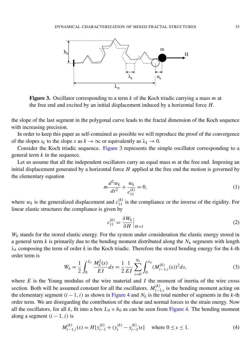<span id="page-3-0"></span>

Figure 3. Oscillator corresponding to a term *k* of the Koch triadic carrying a mass *m* at the free end and excited by an initial displacement induced by a horizontal force *H*.

the slope of the last segment in the polygonal curve leads to the fractal dimension of the Koch sequence with increasing precision.

In order to keep this paper as self-contained as possible we will reproduce the proof of the convergence of the slopes  $s_k$  to the slope *s* as  $k \to \infty$  or equivalently as  $\lambda_k \to 0$ .

Consider the Koch triadic sequence. [Figure 3](#page-3-0) represents the simple oscillator corresponding to a general term *k* in the sequence.

Let us assume that all the independent oscillators carry an equal mass *m* at the free end. Imposing an initial displacement generated by a horizontal force *H* applied at the free end the motion is governed by the elementary equation

<span id="page-3-3"></span>
$$
m\frac{d^2w_k}{dt^2} + \frac{w_k}{c_{11}^{(k)}} = 0,
$$
\n(1)

where  $w_k$  is the generalized displacement and  $c_{11}^{(k)}$  is the compliance or the inverse of the rigidity. For linear elastic structures the compliance is given by

$$
c_{11}^{(k)} = \frac{\partial W_k}{\partial H}\Big|_{H=1} \tag{2}
$$

*W<sup>k</sup>* stands for the stored elastic energy. For the system under consideration the elastic energy stored in a general term *k* is primarily due to the bending moment distributed along the *N<sup>k</sup>* segments with length λ*<sup>k</sup>* composing the term of order *k* in the Koch triadic. Therefore the stored bending energy for the *k*-th order term is

<span id="page-3-2"></span>
$$
W_k = \frac{1}{2} \int_0^{L_t} \frac{M_k^2(s)}{EI} ds = \frac{1}{2} \frac{1}{EI} \sum_{i=0}^{N_k} \int_0^{\lambda_k} (M_{i-1,i}^{(k)}(s))^2 ds,
$$
 (3)

where *E* is the Young modulus of the wire material and *I* the moment of inertia of the wire cross section. Both will be assumed constant for all the oscillators.  $M_{i-1,i}^{(k)}$  is the bending moment acting on the elementary segment  $(i - 1, i)$  as shown in [Figure 4](#page-4-0) and  $N_k$  is the total number of segments in the *k*-th order term. We are disregarding the contribution of the shear and normal forces to the strain energy. Now all the oscillators, for all *k*, fit into a box  $L_0 \times h_0$  as can be seen from [Figure 4.](#page-4-0) The bending moment along a segment  $(i - 1, i)$  is

<span id="page-3-1"></span>
$$
M_{i-1,i}^{(k)}(s) = H[y_{i-1}^{(k)} + (y_i^{(k)} - y_{i-1}^{(k)})s] \quad \text{where } 0 \le s \le 1.
$$
 (4)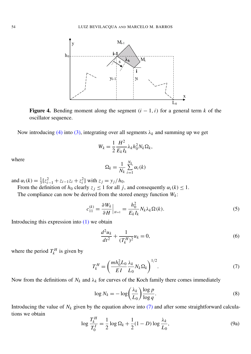<span id="page-4-0"></span>

**Figure 4.** Bending moment along the segment  $(i - 1, i)$  for a general term k of the oscillator sequence.

Now introducing [\(4\)](#page-3-1) into [\(3\),](#page-3-2) integrating over all segments  $\lambda_k$  and summing up we get

$$
W_k = \frac{1}{2} \frac{H^2}{E_k I_k} \lambda_k h_0^2 N_k \Omega_k,
$$

where

$$
\Omega_k = \frac{1}{N_k} \sum_{i=1}^{N_k} \alpha_i(k)
$$

and  $\alpha_i(k) = \frac{1}{3}$  $\frac{1}{3}[z_{i-1}^2 + z_{i-1}z_i + z_i^2]$  with  $z_j = y_j/h_0$ .

From the definition of  $h_0$  clearly  $z_j \leq 1$  for all *j*, and consequently  $\alpha_i(k) \leq 1$ .

The compliance can now be derived from the stored energy function  $W_k$ :

$$
c_{11}^{(k)} = \frac{\partial W_k}{\partial H}\Big|_{H=1} = \frac{h_0^2}{E_k I_k} N_k \lambda_k \Omega(k). \tag{5}
$$

Introducing this expression into  $(1)$  we obtain

$$
\frac{d^2u_k}{dt^2} + \frac{1}{(T_k^H)^2}u_k = 0,\t\t(6)
$$

where the period  $T_k^H$  is given by

<span id="page-4-1"></span>
$$
T_k^H = \left(\frac{mh_0^2 L_0}{EI} \frac{\lambda_k}{L_0} N_k \Omega_k\right)^{1/2}.\tag{7}
$$

Now from the definitions of  $N_k$  and  $\lambda_k$  for curves of the Koch family there comes immediately

$$
\log N_k = -\log \left(\frac{\lambda_k}{L_0}\right) \frac{\log p}{\log q}.\tag{8}
$$

Introducing the value of  $N_k$  given by the equation above into  $(7)$  and after some straightforward calculations we obtain

<span id="page-4-2"></span>
$$
\log \frac{T_k^H}{T_0^I} = \frac{1}{2} \log \Omega_k + \frac{1}{2} (1 - D) \log \frac{\lambda_k}{L_0},\tag{9a}
$$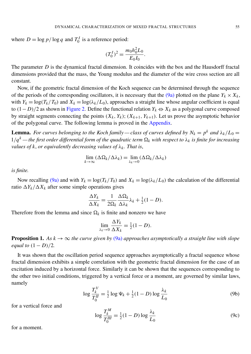where  $D = \log p / \log q$  and  $T_0^I$  is a reference period:

$$
(T_0^I)^2 = \frac{m_0 h_0^2 L_0}{E_0 I_0}.
$$

The parameter *D* is the dynamical fractal dimension. It coincides with the box and the Hausdorff fractal dimensions provided that the mass, the Young modulus and the diameter of the wire cross section are all constant.

Now, if the geometric fractal dimension of the Koch sequence can be determined through the sequence of the periods of the corresponding oscillators, it is necessary that the  $(9a)$  plotted on the plane  $Y_k \times X_k$ , with  $Y_k = \log(T_k/T_0)$  and  $X_k = \log(\lambda_k/L_0)$ , approaches a straight line whose angular coefficient is equal to  $(1 - D)/2$  as shown in [Figure 2.](#page-2-1) Define the functional relation  $Y_k$  ⇔  $X_k$  as a polygonal curve composed by straight segments connecting the points  $(X_k, Y_k)$ ;  $(X_{k+1}, Y_{k+1})$ . Let us prove the asymptotic behavior of the polygonal curve. The following lemma is proved in the [Appendix.](#page-16-0)

**Lemma.** For curves belonging to the Koch family—class of curves defined by  $N_k = p^k$  and  $\lambda_k/L_0 =$  $1/q^k$  — the first order differential form of the quadratic term  $\Omega_k$  with respect to  $\lambda_k$  is finite for increasing *values of k, or equivalently decreasing values of*  $\lambda_k$ *. That is,* 

$$
\lim_{k \to \infty} (\Delta \Omega_k / \Delta \lambda_k) = \lim_{\lambda_k \to 0} (\Delta \Omega_k / \Delta \lambda_k)
$$

*is finite.*

Now recalling [\(9a\)](#page-4-2) and with  $Y_k = \log(T_k/T_0)$  and  $X_k = \log(\lambda_k/L_0)$  the calculation of the differential ratio  $\Delta Y_k/\Delta X_k$  after some simple operations gives

$$
\frac{\Delta Y_k}{\Delta X_k} = \frac{1}{2\Omega_k} \frac{\Delta \Omega_k}{\Delta \lambda_k} \lambda_k + \frac{1}{2}(1 - D).
$$

Therefore from the lemma and since  $\Omega_k$  is finite and nonzero we have

$$
\lim_{\lambda_k \to 0} \frac{\Delta Y_k}{\Delta X_k} = \frac{1}{2}(1 - D).
$$

**Proposition 1.** As  $k \to \infty$  the curve given by [\(9a\)](#page-4-2) approaches asymptotically a straight line with slope *equal to*  $(1 - D)/2$ *.* 

It was shown that the oscillation period sequence approaches asymptotically a fractal sequence whose fractal dimension exhibits a simple correlation with the geometric fractal dimension for the case of an excitation induced by a horizontal force. Similarly it can be shown that the sequences corresponding to the other two initial conditions, triggered by a vertical force or a moment, are governed by similar laws, namely

<span id="page-5-0"></span>
$$
\log \frac{T_k^V}{T_0^H} = \frac{1}{2} \log \Psi_k + \frac{1}{2} (1 - D) \log \frac{\lambda_k}{L_0}
$$
 (9b)

for a vertical force and

$$
\log \frac{T_k^M}{T_0^{III}} = \frac{1}{2}(1 - D) \log \frac{\lambda_k}{L_0}
$$
 (9c)

for a moment.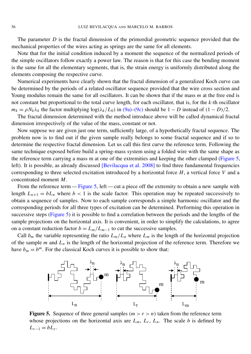The parameter *D* is the fractal dimension of the primordial geometric sequence provided that the mechanical properties of the wires acting as springs are the same for all elements.

Note that for the initial condition induced by a moment the sequence of the normalized periods of the simple oscillators follow exactly a power law. The reason is that for this case the bending moment is the same for all the elementary segments, that is, the strain energy is uniformly distributed along the elements composing the respective curve.

Numerical experiments have clearly shown that the fractal dimension of a generalized Koch curve can be determined by the periods of a related oscillator sequence provided that the wire cross section and Young modulus remain the same for all oscillators. It can be shown that if the mass *m* at the free end is not constant but proportional to the total curve length, for each oscillator, that is, for the *k*-th oscillator  $m_k = \rho N_k \lambda_k$  the factor multiplying  $\log(\lambda_k/L_0)$  in [\(9a\)](#page-4-2)[–\(9c\)](#page-5-0) should be  $1 - D$  instead of  $(1 - D)/2$ .

The fractal dimension determined with the method introduce above will be called dynamical fractal dimension irrespectively of the value of the mass, constant or not.

Now suppose we are given just one term, sufficiently large, of a hypothetically fractal sequence. The problem now is to find out if the given sample really belongs to some fractal sequence and if so to determine the respective fractal dimension. Let us call this first curve the reference term. Following the same technique exposed before build a spring-mass system using a folded wire with the same shape as the reference term carrying a mass m at one of the extremities and keeping the other clamped [\(Figure 5,](#page-6-0) left). It is possible, as already discussed [\[Bevilacqua et al. 2008\]](#page-19-4) to find three fundamental frequencies corresponding to three selected excitation introduced by a horizontal force *H*, a vertical force *V* and a concentrated moment *M*.

From the reference term — [Figure 5,](#page-6-0) left — cut a piece off the extremity to obtain a new sample with length  $L_{n+1} = bL_n$  where  $b < 1$  is the scale factor. This operation may be repeated successively to obtain a sequence of samples. Now to each sample corresponds a simple harmonic oscillator and the corresponding periods for all three types of excitation can be determined. Performing this operation in successive steps [\(Figure 5\)](#page-6-0) it is possible to find a correlation between the periods and the lengths of the sample projections on the horizontal axis. It is convenient, in order to simplify the calculations, to agree on a constant reduction factor  $b = L_m/L_{m-1}$  to cut the successive samples.

<span id="page-6-0"></span>Call  $b_m$  the variable representing the ratio  $L_m/L_n$  where  $L_m$  is the length of the horizontal projection of the sample  $m$  and  $L_n$  is the length of the horizontal projection of the reference term. Therefore we have  $b_m = b^m$ . For the classical Koch curves it is possible to show that:



Figure 5. Sequence of three general samples  $(m > r > n)$  taken from the reference term whose projections on the horizontal axis are  $L_m$ ,  $L_r$ ,  $L_n$ . The scale *b* is defined by  $L_{r-1} = bL_r.$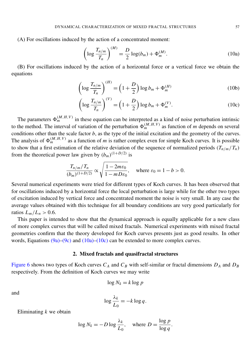(A) For oscillations induced by the action of a concentrated moment:

<span id="page-7-0"></span>
$$
\left(\log \frac{T_{n/m}}{T_n}\right)^{(M)} = \frac{D}{2}\log(b_m) + \Phi_m^{(M)}.
$$
\n(10a)

(B) For oscillations induced by the action of a horizontal force or a vertical force we obtain the equations

$$
\left(\log \frac{T_{n/m}}{T_n}\right)^{(H)} = \left(1 + \frac{D}{2}\right)\log b_m + \Phi_m^{(H)}\tag{10b}
$$

<span id="page-7-1"></span>
$$
\left(\log \frac{T_{n/m}}{T_n}\right)^{(V)} = \left(1 + \frac{D}{2}\right)\log b_m + \Phi_m^{(V)}.
$$
\n(10c)

The parameters  $\Phi_m^{(M,H,V)}$  in these equation can be interpreted as a kind of noise perturbation intrinsic to the method. The interval of variation of the perturbation  $\Phi_m^{(M,H,V)}$  as function of *m* depends on several conditions other than the scale factor *b*, as the type of the initial excitation and the geometry of the curves. The analysis of  $\Phi_m^{(M,H,V)}$  as a function of *m* is rather complex even for simple Koch curves. It is possible to show that a first estimation of the relative deviation of the sequence of normalized periods  $(T_{n/m}/T_n)$ from the theoretical power law given by  $(b_m)^{(1+D/2)}$  is

$$
\frac{T_{n/m}/T_n}{(b_m)^{(1+D/2)}} \propto \sqrt{\frac{1-2m\varepsilon_0}{1-mD\varepsilon_0}}, \quad \text{where } \varepsilon_0 = 1 - b > 0.
$$

Several numerical experiments were tried for different types of Koch curves. It has been observed that for oscillations induced by a horizontal force the local perturbation is large while for the other two types of excitation induced by vertical force and concentrated moment the noise is very small. In any case the average values obtained with this technique for all boundary conditions are very good particularly for ratios  $L_m/L_n > 0.6$ .

This paper is intended to show that the dynamical approach is equally applicable for a new class of more complex curves that will be called mixed fractals. Numerical experiments with mixed fractal geometries confirm that the theory developed for Koch curves presents just as good results. In other words, Equations [\(9a\)](#page-4-2)[–\(9c\)](#page-5-0) and [\(10a\)–](#page-7-0)[\(10c\)](#page-7-1) can be extended to more complex curves.

### 2. Mixed fractals and quasifractal structures

<span id="page-7-2"></span>[Figure 6](#page-8-0) shows two types of Koch curves  $C_A$  and  $C_B$  with self-similar or fractal dimensions  $D_A$  and  $D_B$ respectively. From the definition of Koch curves we may write

$$
\log N_k = k \log p
$$

and

$$
\log \frac{\lambda_k}{L_0} = -k \log q.
$$

Eliminating *k* we obtain

$$
\log N_k = -D \log \frac{\lambda_k}{L_0}, \quad \text{where } D = \frac{\log p}{\log q}.
$$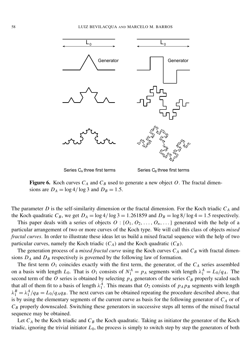<span id="page-8-0"></span>

Series  $C_A$  three first terms  $C_B$  three first terms

Figure 6. Koch curves *C<sup>A</sup>* and *C<sup>B</sup>* used to generate a new object *O*. The fractal dimensions are  $D_A = \log 4 / \log 3$  and  $D_B = 1.5$ .

The parameter *D* is the self-similarity dimension or the fractal dimension. For the Koch triadic *C<sup>A</sup>* and the Koch quadratic  $C_B$ , we get  $D_A = \log 4 / \log 3 = 1.261859$  and  $D_B = \log 8 / \log 4 = 1.5$  respectively. This paper deals with a series of objects  $O: \{O_1, O_2, \ldots, O_n, \ldots\}$  generated with the help of a

particular arrangement of two or more curves of the Koch type. We will call this class of objects *mixed fractal curves*. In order to illustrate these ideas let us build a mixed fractal sequence with the help of two particular curves, namely the Koch triadic  $(C_A)$  and the Koch quadratic  $(C_B)$ .

The generation process of a *mixed fractal curve* using the Koch curves *C<sup>A</sup>* and *C<sup>B</sup>* with fractal dimensions  $D_A$  and  $D_B$  respectively is governed by the following law of formation.

The first term  $O_1$  coincides exactly with the first term, the generator, of the  $C_A$  series assembled on a basis with length  $L_0$ . That is  $O_1$  consists of  $N_1^A = p_A$  segments with length  $\lambda_1^A = L_0/q_A$ . The second term of the *O* series is obtained by selecting  $p_A$  generators of the series  $C_B$  properly scaled such that all of them fit to a basis of length  $\lambda_1^A$ . This means that  $O_2$  consists of  $p_A p_B$  segments with length  $\lambda_1^B = \lambda_1^A/q_B = L_0/q_Aq_B$ . The next curves can be obtained repeating the procedure described above, that is by using the elementary segments of the current curve as basis for the following generator of  $C_A$  or of  $C_B$  properly downscaled. Switching these generators in successive steps all terms of the mixed fractal sequence may be obtained.

Let  $C_A$  be the Koch triadic and  $C_B$  the Koch quadratic. Taking as initiator the generator of the Koch triadic, ignoring the trivial initiator  $L_0$ , the process is simply to switch step by step the generators of both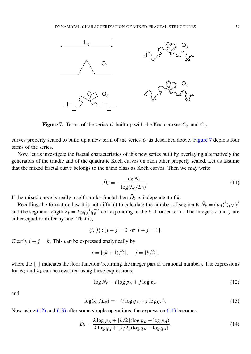<span id="page-9-0"></span>

**Figure 7.** Terms of the series O built up with the Koch curves  $C_A$  and  $C_B$ .

curves properly scaled to build up a new term of the series *O* as described above. [Figure 7](#page-9-0) depicts four terms of the series.

Now, let us investigate the fractal characteristics of this new series built by overlaying alternatively the generators of the triadic and of the quadratic Koch curves on each other properly scaled. Let us assume that the mixed fractal curve belongs to the same class as Koch curves. Then we may write

<span id="page-9-3"></span>
$$
\bar{D}_k = -\frac{\log \bar{N}_k}{\log(\bar{\lambda}_k/L_0)}.
$$
\n(11)

If the mixed curve is really a self-similar fractal then  $\bar{D}_k$  is independent of  $k$ .

Recalling the formation law it is not difficult to calculate the number of segments  $\bar{N}_k = (p_A)^i (p_B)^j$ and the segment length  $\bar{\lambda}_k = L_0 q_A^{-i}$  $\overline{A}^i q_B^{-j}$  $B_B^{-1}$  corresponding to the *k*-th order term. The integers *i* and *j* are either equal or differ by one. That is,

 ${i, j}$  :  $[i - j = 0 \text{ or } i - j = 1].$ 

Clearly  $i + j = k$ . This can be expressed analytically by

$$
i = \lfloor (k+1)/2 \rfloor, \quad j = \lfloor k/2 \rfloor,
$$

where the  $\lfloor \cdot \rfloor$  indicates the floor function (returning the integer part of a rational number). The expressions for  $N_k$  and  $\lambda_k$  can be rewritten using these expressions:

<span id="page-9-4"></span><span id="page-9-1"></span>
$$
\log \bar{N}_k = i \log p_A + j \log p_B \tag{12}
$$

<span id="page-9-2"></span>and

$$
\log(\bar{\lambda}_k/L_0) = -(i \log q_A + j \log q_B). \tag{13}
$$

Now using [\(12\)](#page-9-1) and [\(13\)](#page-9-2) after some simple operations, the expression [\(11\)](#page-9-3) becomes

$$
\bar{D}_k = \frac{k \log p_A + \lfloor k/2 \rfloor (\log p_B - \log p_A)}{k \log q_A + \lfloor k/2 \rfloor (\log q_B - \log q_A)}.
$$
\n(14)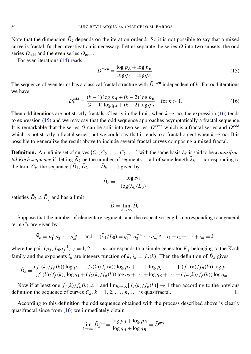Note that the dimension  $\bar{D}_k$  depends on the iteration order  $k$ . So it is not possible to say that a mixed curve is fractal, further investigation is necessary. Let us separate the series *O* into two subsets, the odd series  $O_{\text{odd}}$  and the even series  $O_{\text{even}}$ .

For even iterations [\(14\)](#page-9-4) reads

<span id="page-10-1"></span>
$$
\bar{D}^{\text{even}} = \frac{\log p_A + \log p_B}{\log q_A + \log q_B}.
$$
\n(15)

.

<span id="page-10-0"></span>The sequence of even terms has a classical fractal structure with  $\bar{D}^{\text{even}}$  independent of *k*. For odd iterations we have

$$
\bar{D}_k^{\text{odd}} = \frac{(k-1)\log p_A + (k-2)\log p_B}{(k-1)\log q_A + (k-2)\log q_B} \quad \text{for } k > 1.
$$
\n(16)

Then odd iterations are not strictly fractals. Clearly in the limit, when  $k \to \infty$ , the expression [\(16\)](#page-10-0) tends to expression [\(15\)](#page-10-1) and we may say that the odd sequence approaches asymptotically a fractal sequence. It is remarkable that the series O can be split into two series,  $O^{\text{even}}$  which is a fractal series and  $O^{\text{odd}}$ which is not strictly a fractal series, but we could say that it tends to a fractal object when  $k \to \infty$ . It is possible to generalize the result above to include several fractal curves composing a mixed fractal.

**Definition.** An infinite set of curves  $\{C_1, C_2, \ldots, C_k, \ldots\}$  with the same basis  $L_0$  is said to be a *quasifractal Koch sequence* if, letting  $\bar{N}_k$  be the number of segments — all of same length  $\bar{\lambda}_k$  — corresponding to the term  $C_k$ , the sequence  $\{\bar{D}_1, \bar{D}_2, \ldots, \bar{D}_k, \ldots\}$  given by

$$
\bar{D}_k = -\frac{\log \bar{N}_k}{\log(\bar{\lambda}_k/L_0)}.
$$

satisfies  $\bar{D}_i \neq \bar{D}_j$  and has a limit

$$
\bar{D}=\lim_{k\to\infty}\bar{D}_k.
$$

Suppose that the number of elementary segments and the respective lengths corresponding to a general term  $C_k$  are given by

$$
\bar{N}_k = p_1^{i_1} p_2^{i_2} \cdots p_m^{i_m} \quad \text{and} \quad (\bar{\lambda}_1/L_0) = q_1^{-i_1} q_2^{-i_2} \cdots q_m^{-i_m} \quad i_1 + i_2 + \cdots + i_m = k,
$$

where the pair  $(p_j, L_0 q_j^{-1})$   $j = 1, 2, ..., m$  corresponds to a simple generator  $K_j$  belonging to the Koch family and the exponents  $i_{\alpha}$  are integers function of k,  $i_{\alpha} = f_{\alpha}(k)$ . Then the definition of  $\bar{D}_k$  gives

$$
\bar{D}_k = \frac{(f_1(k)/f_\beta(k))\log p_1 + (f_2(k)/f_\beta(k))\log p_2 + \cdots + \log p_\beta + \cdots + (f_m(k)/f_\beta(k))\log p_m}{(f_1(k)/f_\beta(k))\log q_1 + (f_2(k)/f_\beta(k))\log q_2 + \cdots + \log q_\beta + \cdots + (f_m(k)/f_\beta(k))\log q_m}
$$

Now if at least one  $f_i(k)/f_\beta(k) \neq 1$  and  $\lim_{k\to\infty} [f_i(k)/f_\beta(k)] \to 1$  then according to the previous definition the sequence of curves  $C_k$ ,  $k = 1, 2, ..., n, ...$  is quasifractal.

According to this definition the odd sequence obtained with the process described above is clearly quasifractal since from  $(16)$  we immediately obtain

$$
\lim_{k \to \infty} \bar{D}_k^{\text{odd}} = \frac{\log p_A + \log p_B}{\log q_A + \log q_B} = \bar{D}^{\text{even}}.
$$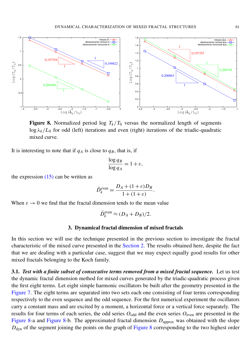<span id="page-11-0"></span>

**Figure 8.** Normalized period log  $T_k/T_0$  versus the normalized length of segments  $\log \lambda_k/L_0$  for odd (left) iterations and even (right) iterations of the triadic-quadratic mixed curve.

It is interesting to note that if  $q_A$  is close to  $q_B$ , that is, if

$$
\frac{\log q_B}{\log q_A} = 1 + \varepsilon,
$$

the expression  $(15)$  can be written as

$$
\bar{D}_k^{\text{even}} = \frac{D_A + (1 + \varepsilon)D_B}{1 + (1 + \varepsilon)}.
$$

When  $\varepsilon \to 0$  we find that the fractal dimension tends to the mean value

$$
\bar{D}_k^{\text{even}} \approx (D_A + D_B)/2.
$$

#### 3. Dynamical fractal dimension of mixed fractals

In this section we will use the technique presented in the previous section to investigate the fractal characteristic of the mixed curve presented in the [Section 2.](#page-7-2) The results obtained here, despite the fact that we are dealing with a particular case, suggest that we may expect equally good results for other mixed fractals belonging to the Koch family.

3.1. *Test with a finite subset of consecutive terms removed from a mixed fractal sequence.* Let us test the dynamic fractal dimension method for mixed curves generated by the triadic-quadratic process given the first eight terms. Let eight simple harmonic oscillators be built after the geometry presented in the [Figure 7.](#page-9-0) The eight terms are separated into two sets each one consisting of four terms corresponding respectively to the even sequence and the odd sequence. For the first numerical experiment the oscillators carry a constant mass and are excited by a moment, a horizontal force or a vertical force separately. The results for four terms of each series, the odd series  $O_{odd}$  and the even series  $O_{even}$  are presented in the [Figure 8-](#page-11-0)a and Figure 8-b. The approximated fractal dimension  $D_{\text{approx}}$  was obtained with the slope  $D_{\text{dyn}}$  of the segment joining the points on the graph of [Figure 8](#page-11-0) corresponding to the two highest order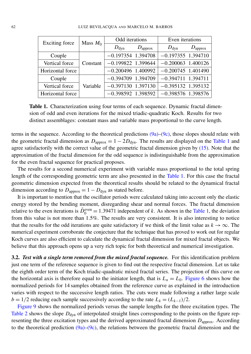<span id="page-12-0"></span>

| Exciting force   | Mass $M_0$ | Odd iterations       |                     | Even iterations      |                     |
|------------------|------------|----------------------|---------------------|----------------------|---------------------|
|                  |            | $D_{\rm dyn}$        | $D_{\text{approx}}$ | $D_{\text{dyn}}$     | $D_{\text{approx}}$ |
| Couple           | Constant   | $-0.197354$ 1.394708 |                     | $-0.197355$ 1.394710 |                     |
| Vertical force   |            | $-0.199822$ 1.399644 |                     | $-0.200063$ 1.400126 |                     |
| Horizontal force |            | $-0.200496$ 1.400992 |                     | $-0.200745$ 1.401490 |                     |
| Couple           | Variable   | $-0.394709$ 1.394709 |                     | $-0.394711$ 1.394711 |                     |
| Vertical force   |            | $-0.397130$ 1.397130 |                     | $-0.395132$ 1.395132 |                     |
| Horizontal force |            | $-0.398592$ 1.398592 |                     | $-0.398576$ 1.398576 |                     |

Table 1. Characterization using four terms of each sequence. Dynamic fractal dimension of odd and even iterations for the mixed triadic-quadratic Koch. Results for two distinct assemblages: constant mass and variable mass proportional to the curve length.

terms in the sequence. According to the theoretical predictions  $(9a)$ – $(9c)$ , those slopes should relate with the geometric fractal dimension as  $D_{\text{approx}} = 1 - 2D_{\text{dyn}}$ . The results are displayed on the [Table 1](#page-12-0) and agree satisfactorily with the correct value of the geometric fractal dimension given by [\(15\).](#page-10-1) Note that the approximation of the fractal dimension for the odd sequence is indistinguishable from the approximation for the even fractal sequence for practical proposes.

The results for a second numerical experiment with variable mass proportional to the total spring length of the corresponding geometric term are also presented in the [Table 1.](#page-12-0) For this case the fractal geometric dimension expected from the theoretical results should be related to the dynamical fractal dimension according to  $D_{\text{approx}} = 1 - D_{\text{dyn}}$  as stated before.

It is important to mention that the oscillator periods were calculated taking into account only the elastic energy stored by the bending moment, disregarding shear and normal forces. The fractal dimension relative to the even iterations is  $\bar{D}_0^{\text{even}} = 1.39471$  independent of *k*. As shown in the [Table 1,](#page-12-0) the deviation from this value is not more than 1.5%. The results are very consistent. It is also interesting to notice that the results for the odd iterations are quite satisfactory if we think of the limit value as  $k \to \infty$ . The numerical experiment corroborate the conjecture that the technique that has proved to work out for regular Koch curves are also efficient to calculate the dynamical fractal dimension for mixed fractal objects. We believe that this approach opens up a very rich topic for both theoretical and numerical investigation.

3.2. *Test with a single term removed from the mixed fractal sequence.* For this identification problem just one term of the reference sequence is given to find out the respective fractal dimension. Let us take the eighth order term of the Koch triadic-quadratic mixed fractal series. The projection of this curve on the horizontal axis is therefore equal to the initiator length, that is  $L_n = L_0$ . [Figure 6](#page-8-0) shows how the normalized periods for 14 samples obtained from the reference curve as explained in the introduction varies with respect to the successive length ratios. The cuts were made following a rather large scale  $b = 1/2$  reducing each sample successively according to the rate  $L_k = (L_{k-1})/2$ .

[Figure 9](#page-13-0) shows the normalized periods versus the sample lengths for the three excitation types. The [Table 2](#page-13-1) shows the slope  $D_{\text{dyn}}$  of interpolated straight lines corresponding to the points on the figure representing the three excitation types and the derived approximated fractal dimension  $D_{\text{approx}}$ . According to the theoretical prediction [\(9a\)–](#page-4-2)[\(9c\),](#page-5-0) the relations between the geometric fractal dimension and the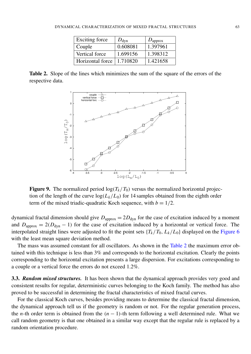| Exciting force   | $D_{\text{dyn}}$ | $D_{\text{approx}}$ |
|------------------|------------------|---------------------|
| Couple           | 0.608081         | 1.397961            |
| Vertical force   | 1.699156         | 1.398312            |
| Horizontal force | 1.710820         | 1.421658            |

<span id="page-13-1"></span><span id="page-13-0"></span>Table 2. Slope of the lines which minimizes the sum of the square of the errors of the respective data.



**Figure 9.** The normalized period  $\log(T_k/T_0)$  versus the normalized horizontal projection of the length of the curve  $log(L_k/L_0)$  for 14 samples obtained from the eighth order term of the mixed triadic-quadratic Koch sequence, with  $b = 1/2$ .

dynamical fractal dimension should give  $D_{\text{approx}} = 2D_{\text{dyn}}$  for the case of excitation induced by a moment and  $D_{\text{approx}} = 2(D_{\text{dyn}} - 1)$  for the case of excitation induced by a horizontal or vertical force. The interpolated straight lines were adjusted to fit the point sets  ${T_k/T_0, L_k/L_0}$  displayed on the [Figure 6](#page-8-0) with the least mean square deviation method.

The mass was assumed constant for all oscillators. As shown in the [Table 2](#page-13-1) the maximum error obtained with this technique is less than 3% and corresponds to the horizontal excitation. Clearly the points corresponding to the horizontal excitation presents a large dispersion. For excitations corresponding to a couple or a vertical force the errors do not exceed 1.2%.

3.3. *Random mixed structures.* It has been shown that the dynamical approach provides very good and consistent results for regular, deterministic curves belonging to the Koch family. The method has also proved to be successful in determining the fractal characteristics of mixed fractal curves.

For the classical Koch curves, besides providing means to determine the classical fractal dimension, the dynamical approach tell us if the geometry is random or not. For the regular generation process, the *n*-th order term is obtained from the  $(n - 1)$ -th term following a well determined rule. What we call random geometry is that one obtained in a similar way except that the regular rule is replaced by a random orientation procedure.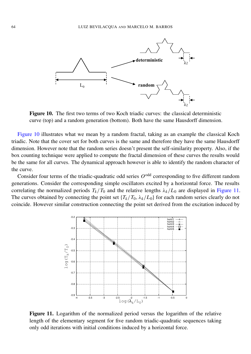<span id="page-14-0"></span>

Figure 10. The first two terms of two Koch triadic curves: the classical deterministic curve (top) and a random generation (bottom). Both have the same Hausdorff dimension.

[Figure 10](#page-14-0) illustrates what we mean by a random fractal, taking as an example the classical Koch triadic. Note that the cover set for both curves is the same and therefore they have the same Hausdorff dimension. However note that the random series doesn't present the self-similarity property. Also, if the box counting technique were applied to compute the fractal dimension of these curves the results would be the same for all curves. The dynamical approach however is able to identify the random character of the curve.

<span id="page-14-1"></span>Consider four terms of the triadic-quadratic odd series  $O^{\text{odd}}$  corresponding to five different random generations. Consider the corresponding simple oscillators excited by a horizontal force. The results correlating the normalized periods  $T_k/T_0$  and the relative lengths  $\lambda_k/L_0$  are displayed in [Figure 11.](#page-14-1) The curves obtained by connecting the point set  ${T_k/T_0, \lambda_k/L_0}$  for each random series clearly do not coincide. However similar construction connecting the point set derived from the excitation induced by



Figure 11. Logarithm of the normalized period versus the logarithm of the relative length of the elementary segment for five random triadic-quadratic sequences taking only odd iterations with initial conditions induced by a horizontal force.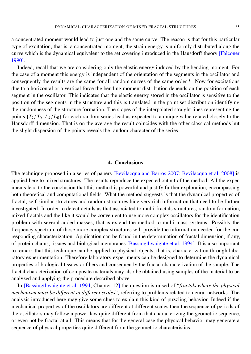a concentrated moment would lead to just one and the same curve. The reason is that for this particular type of excitation, that is, a concentrated moment, the strain energy is uniformly distributed along the curve which is the dynamical equivalent to the set covering introduced in the Hausdorff theory [\[Falconer](#page-19-5) [1990\]](#page-19-5).

Indeed, recall that we are considering only the elastic energy induced by the bending moment. For the case of a moment this energy is independent of the orientation of the segments in the oscillator and consequently the results are the same for all random curves of the same order *k*. Now for excitations due to a horizontal or a vertical force the bending moment distribution depends on the position of each segment in the oscillator. This indicates that the elastic energy stored in the oscillator is sensitive to the position of the segments in the structure and this is translated in the point set distribution identifying the randomness of the structure formation. The slopes of the interpolated straight lines representing the points  ${T_k}/{T_0}, L_k/{L_0}$  for each random series lead as expected to a unique value related closely to the Hausdorff dimension. That is on the average the result coincides with the other classical methods but the slight dispersion of the points reveals the random character of the series.

## 4. Conclusions

The technique proposed in a series of papers [\[Bevilacqua and Barros 2007;](#page-19-6) [Bevilacqua et al. 2008\]](#page-19-4) is applied here to mixed structures. The results reproduce the expected output of the method. All the experiments lead to the conclusion that this method is powerful and justify further exploration, encompassing both theoretical and computational fields. What the method suggests is that the dynamical properties of fractal, self-similar structures and random structures hide very rich information that need to be further investigated. In order to detect details as that associated to multi-fractals structures, random formation, mixed fractals and the like it would be convenient to use more complex oscillators for the identification problem with several added masses, that is extend the method to multi-mass systems. Possibly the frequency spectrum of those more complex structures will provide the information needed for the corresponding characterization. Application can be found in the determination of fractal dimension, if any, of protein chains, tissues and biological membranes [\[Bassingthwaighte et al. 1994\]](#page-19-7). It is also important to remark that this technique can be applied to physical objects, that is, characterization through laboratory experimentation. Therefore laboratory experiments can be designed to determine the dynamical properties of biological tissues or fibers and consequently the fractal characterization of the sample. The fractal characterization of composite materials may also be obtained using samples of the material to be analyzed and applying the procedure described above.

In [\[Bassingthwaighte et al. 1994,](#page-19-7) Chapter 12] the question is raised of "*fractals where the physical mechanism must be different at different scales*", referring to problems related to neural networks. The analysis introduced here may give some clues to explain this kind of puzzling behavior. Indeed if the mechanical properties of the oscillators are different at different scales then the sequence of periods of the oscillators may follow a power law quite different from that characterizing the geometric sequence, or even not be fractal at all. This means that for the general case the physical behavior may generate a sequence of physical properties quite different from the geometric characteristics.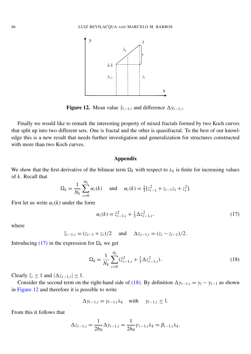<span id="page-16-3"></span>

Figure 12. Mean value  $\bar{y}_{i-1,i}$  and difference  $\Delta y_{i-1,i}$ .

Finally we would like to remark the interesting property of mixed fractals formed by two Koch curves that split up into two different sets. One is fractal and the other is quasifractal. To the best of our knowledge this is a new result that needs further investigation and generalization for structures constructed with more than two Koch curves.

#### Appendix

<span id="page-16-0"></span>We show that the first derivative of the bilinear term  $\Omega_k$  with respect to  $\lambda_k$  is finite for increasing values of *k*. Recall that

$$
\Omega_k = \frac{1}{N_k} \sum_{i=0}^{N_k} \alpha_i(k) \quad \text{and} \quad \alpha_i(k) = \frac{1}{3} [z_{i-1}^2 + z_{i-1} z_i + z_i^2].
$$

First let us write  $\alpha_i(k)$  under the form

<span id="page-16-1"></span>
$$
\alpha_i(k) = \bar{z}_{i-1,i}^2 + \frac{1}{3} \Delta z_{i-1,i}^2,\tag{17}
$$

where

$$
\bar{z}_{i-1,i} = (z_{i-1} + z_i)/2
$$
 and  $\Delta z_{i-1,i} = (z_i - z_{i-1})/2$ .

Introducing [\(17\)](#page-16-1) in the expression for  $\Omega_k$  we get

<span id="page-16-2"></span>
$$
\Omega_k = \frac{1}{N_k} \sum_{i=0}^{N_k} (\bar{z}_{i-1,i}^2 + \frac{1}{3} \Delta z_{i-1,i}^2).
$$
 (18)

Clearly  $\bar{z}_i \leq 1$  and  $|\Delta z_{i-1,i}| \leq 1$ .

Consider the second term on the right-hand side of [\(18\).](#page-16-2) By definition  $\Delta y_i$ <sub>−1,*i*</sub> = *y<sub>i</sub>* − *y<sub>i−1</sub>* as shown in [Figure 12](#page-16-3) and therefore it is possible to write

$$
\Delta y_{i-1,i} = \gamma_{i-1,i} \lambda_k \quad \text{with} \quad \gamma_{i-1,i} \le 1.
$$

From this it follows that

$$
\Delta z_{i-1,i} = \frac{1}{2h_0} \Delta y_{i-1,i} = \frac{1}{2h_0} \gamma_{i-1,i} \lambda_k = \beta_{i-1,i} \lambda_k.
$$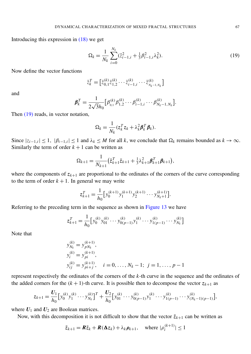Introducing this expression in [\(18\)](#page-16-2) we get

<span id="page-17-0"></span>
$$
\Omega_k = \frac{1}{N_k} \sum_{i=0}^{N_k} (\bar{z}_{i-1,i}^2 + \frac{1}{3} \beta_{i-1,i}^2 \lambda_k^2).
$$
 (19)

Now define the vector functions

$$
\bar{z}_{k}^{T} = \left[ \bar{z}_{0,1}^{(k)} \bar{z}_{1,2}^{(k)} \cdots \bar{z}_{i-1,i}^{(k)} \cdots \bar{z}_{N_{k}-1,N_{k}}^{(k)} \right]
$$

and

$$
\boldsymbol{\beta}_k^T = \frac{1}{2\sqrt{3}h_0} \big[ \beta_{0,1}^{(k)} \beta_{1,2}^{(k)} \cdots \beta_{i-1,i}^{(k)} \cdots \beta_{N_k-1,N_k}^{(k)} \big].
$$

Then  $(19)$  reads, in vector notation,

$$
\Omega_k = \frac{1}{N_k} (z_k^T z_k + \lambda_k^2 \boldsymbol{\beta}_k^T \boldsymbol{\beta}_k).
$$

Since  $|z_{i-1,i}| \leq 1$ ,  $|\beta_{i-1,i}| \leq 1$  and  $\lambda_k \leq M$  for all *k*, we conclude that  $\Omega_k$  remains bounded as  $k \to \infty$ . Similarly the term of order  $k + 1$  can be written as

$$
\Omega_{k+1} = \frac{1}{N_{k+1}} \left( \bar{z}_{k+1}^T \bar{z}_{k+1} + \frac{1}{3} \lambda_{k+1}^2 \boldsymbol{\beta}_{k+1}^T \boldsymbol{\beta}_{k+1} \right),
$$

where the components of  $z_{k+1}$  are proportional to the ordinates of the corners of the curve corresponding to the term of order  $k + 1$ . In general we may write

$$
z_{k+1}^T = \frac{1}{h_0} \big[ y_0^{(k+1)} y_1^{(k+1)} y_2^{(k+1)} \cdots y_{N_k+1}^{(k+1)} \big].
$$

Referring to the preceding term in the sequence as shown in [Figure 13](#page-18-0) we have

$$
z_{k+1}^T = \frac{1}{h_0} \big[ y_0^{(k)} y_{01}^{(k)} \cdots y_{0(p-1)}^{(k)} y_1^{(k)} \cdots y_{1(p-1)}^{(k)} \cdots y_{N_k}^{(k)} \big]
$$

Note that

$$
y_{N_k}^{(k)} = y_{pN_k}^{(k+1)},
$$
  
\n
$$
y_i^{(k)} = y_{pi}^{(k+1)},
$$
  
\n
$$
y_{ij}^{(k)} = y_{pi+j}^{(k+1)}, \quad i = 0, ..., N_k - 1; \ j = 1, ..., p - 1
$$

represent respectively the ordinates of the corners of the *k*-th curve in the sequence and the ordinates of the added corners for the  $(k + 1)$ -th curve. It is possible then to decompose the vector  $z_{k+1}$  as

$$
z_{k+1} = \frac{U_1}{h_0} \big[ y_0^{(k)} y_1^{(k)} \cdots y_{N_k}^{(k)} \big]^T + \frac{U_2}{h_0} \big[ y_{01}^{(k)} \cdots y_{0(p-1)}^{(k)} y_1^{(k)} \cdots y_{1(p-1)}^{(k)} \cdots y_{(N_k-1)(p-1)}^{(k)} \big],
$$

where  $U_1$  and  $U_2$  are Boolean matrices.

Now, with this decomposition it is not difficult to show that the vector  $\bar{z}_{k+1}$  can be written as

$$
\bar{z}_{k+1} = \mathbf{R}\bar{z}_k + \mathbf{R}(\Delta z_k) + \lambda_k \rho_{k+1}, \quad \text{where } |\rho_i^{(k+1)}| \le 1
$$

(*k*+1)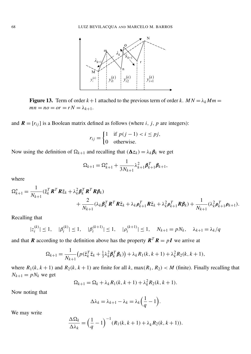

<span id="page-18-0"></span>**Figure 13.** Term of order  $k+1$  attached to the previous term of order *k*.  $MN = \lambda_k Mm$  $mn = no = or = rN = \lambda_{k+1}.$ 

and  $\mathbf{R} = [r_{ij}]$  is a Boolean matrix defined as follows (where *i*, *j*, *p* are integers):

$$
r_{ij} = \begin{cases} 1 & \text{if } p(j-1) < i \leq pj, \\ 0 & \text{otherwise.} \end{cases}
$$

Now using the definition of  $\Omega_{k+1}$  and recalling that  $(\Delta z_k) = \lambda_k \beta_k$  we get

$$
\Omega_{k+1} = \Omega_{k+1}^* + \frac{1}{3N_{k+1}} \lambda_{k+1}^2 \boldsymbol{\beta}_{k+1}^T \boldsymbol{\beta}_{k+1},
$$

where

$$
\Omega_{k+1}^* = \frac{1}{N_{k+1}} (\bar{z}_k^T \boldsymbol{R}^T \boldsymbol{R} \bar{z}_k + \lambda_k^2 \boldsymbol{\beta}_k^T \boldsymbol{R}^T \boldsymbol{R} \boldsymbol{\beta}_k) + \frac{2}{N_{k+1}} (\lambda_k \boldsymbol{\beta}_k^T \boldsymbol{R}^T \boldsymbol{R} \bar{z}_k + \lambda_k \boldsymbol{\rho}_{k+1}^T \boldsymbol{R} \bar{z}_k + \lambda_k^2 \boldsymbol{\rho}_{k+1}^T \boldsymbol{R} \boldsymbol{\beta}_k) + \frac{1}{N_{k+1}} (\lambda_k^2 \boldsymbol{\rho}_{k+1}^T \boldsymbol{\rho}_{k+1}).
$$

Recalling that

$$
|z_i^{(k)}| \le 1, \quad |\beta_i^{(k)}| \le 1, \quad |\beta_i^{(k+1)}| \le 1, \quad |\rho_i^{(k+1)}| \le 1, \quad N_{k+1} = pN_k, \quad \lambda_{k+1} = \lambda_k/q
$$

and that *R* according to the definition above has the property  $R^T R = pI$  we arrive at

$$
\Omega_{k+1} = \frac{1}{N_{k+1}} \big( p(\bar{z}_k^T \bar{z}_k + \frac{1}{3} \lambda_k^2 \boldsymbol{\beta}_k^T \boldsymbol{\beta}_k) \big) + \lambda_k R_1(k, k+1) + \lambda_k^2 R_2(k, k+1),
$$

where  $R_1(k, k+1)$  and  $R_2(k, k+1)$  are finite for all k, max( $R_1, R_2$ ) < *M* (finite). Finally recalling that  $N_{k+1} = pN_k$  we get

$$
\Omega_{k+1} = \Omega_k + \lambda_k R_1(k, k+1) + \lambda_k^2 R_2(k, k+1).
$$

Now noting that

$$
\Delta \lambda_k = \lambda_{k+1} - \lambda_k = \lambda_k \Big( \frac{1}{q} - 1 \Big).
$$

We may write

$$
\frac{\Delta\Omega_k}{\Delta\lambda_k} = \left(\frac{1}{q} - 1\right)^{-1} (R_1(k, k+1) + \lambda_k R_2(k, k+1)).
$$